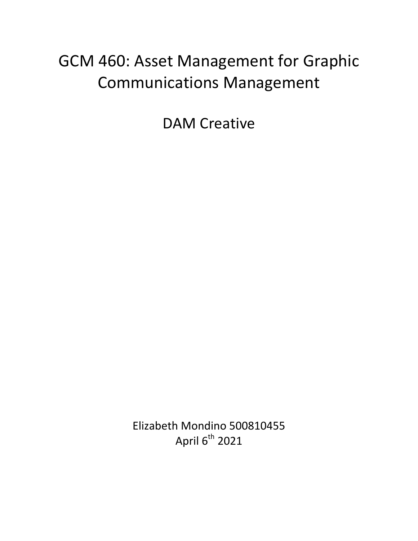## GCM 460: Asset Management for Graphic Communications Management

DAM Creative

Elizabeth Mondino 500810455 April  $6^{th}$  2021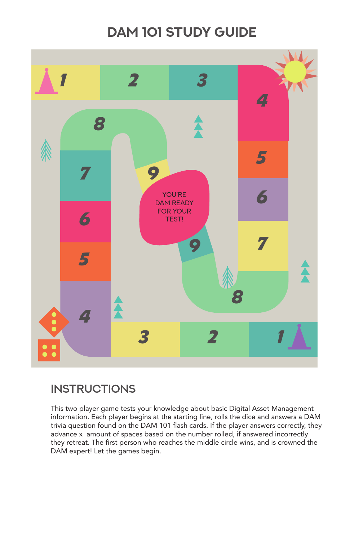# **DAM 101 Study Guide**

**Instructions**

This two player game tests your knowledge about basic Digital Asset Management information. Each player begins at the starting line, rolls the dice and answers a DAM trivia question found on the DAM 101 flash cards. If the player answers correctly, they advance x amount of spaces based on the number rolled, if answered incorrectly they retreat. The first person who reaches the middle circle wins, and is crowned the DAM expert! Let the games begin.

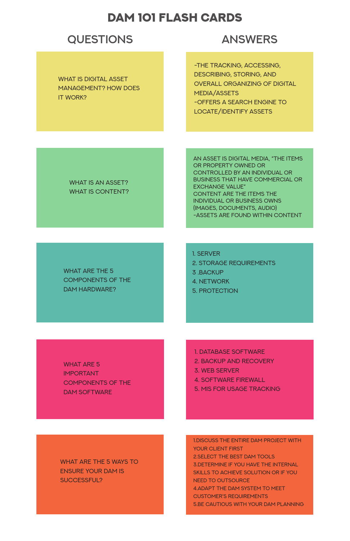## **questions answers**

WHAT IS DIGITAL ASSET Management? How does IT WORK?

-the tracking, accessing, describing, storing, and overall organizing of digital media/assets -offers a search engine to locate/identify assets

#### WHAT IS AN ASSET? WHAT IS CONTENT?

WHAT ARE THE 5 components of the DAM Hardware?

- 2. Storage Requirements
- 3 .Backup
- 4. NETWORK
- 5. PROTECTION

WHAT ARE 5 **IMPORTANT** components of the DAM SOFTWARE

1. DATABASE SOFTWARE

An asset is digital media, "the items or property owned or controlled by an individual or business that have commercial or exchange value" content are the items the individual or business owns (images, documents, audio) -assets are found within content

### WHAT ARE THE 5 WAYS TO ensure your DAM is successful?

1. Server

- 2. Backup and Recovery
- 3. Web Server
- 4. Software Firewall
- 5. MIS for usage tracking

1.discuss the entire DAM project with YOUR CLIENT FIRST 2.select the best DAM tools 3.determine if you have the internal skills to achieve solution or if you need to outsource 4.adapt the DAM system to meet customer's requirements 5.be cautious with your DAM planning

## DAM 101 Flash Cards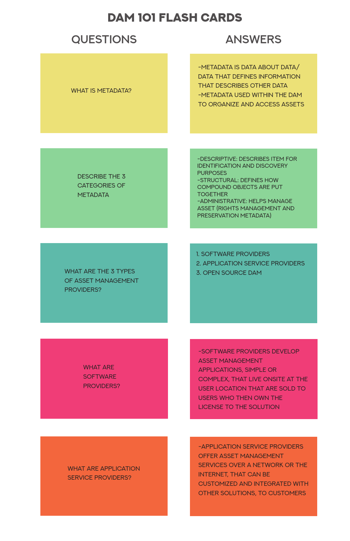## **questions answers**

WHAT IS METADATA?

-Metadata is data about data/ DATA THAT DEFINES INFORMATION that describes other data -metadata used within the DAM to organize and access assets

DESCRIBE THE 3 CATEGORIES OF **METADATA** 

-Descriptive: describes item for identification and discovery purposes -Structural: defines how compound objects are put **TOGETHER** -Administrative: helps manage asset (rights management and preservation metadata)

WHAT ARE THE 3 TYPES of asset management PROVIDERS?

1. Software Providers 2. Application Service Providers 3. Open Source DAM

WHAT ARE **SOFTWARE** PROVIDERS? -Software Providers develop asset management applications, simple or complex, that live onsite at the user location that are sold to users who then own the

license to the solution

#### WHAT ARE APPLICATION SERVICE PROVIDERS?

-Application Service Providers offer asset management SERVICES OVER A NETWORK OR THE Internet, that can be customized and integrated with other solutions, to customers

### DAM 101 Flash Cards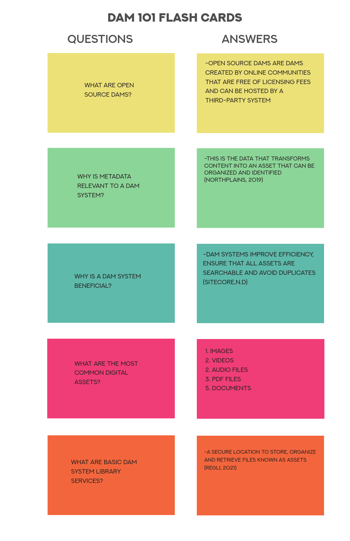WHY IS METADATA relevant to a DAM system?

Why is a DAM system **BENEFICIAL?** 

-this is the data that transforms content into an asset that can be organized and identified (Northplains, 2019)

-DAM systems improve efficiency, ensure that all assets are searchable and avoid duplicates (SITECORE, N.D)

WHAT ARE THE MOST common digital ASSETS?

> -A SECURE LOCATION TO STORE, ORGANIZE and retrieve files known as assets (Regli, 2021)

1. Images 2. VIDEOS 2. Audio Files 3. PDf Files 5. Documents

### WHAT ARE BASIC DAM system library SERVICES?

## **questions answers**

WHAT ARE OPEN SOURCE DAMS?

-Open Source DAMs are DAMs created by online communities that are free of licensing fees and can be hosted by a third-party system

## DAM 101 Flash Cards